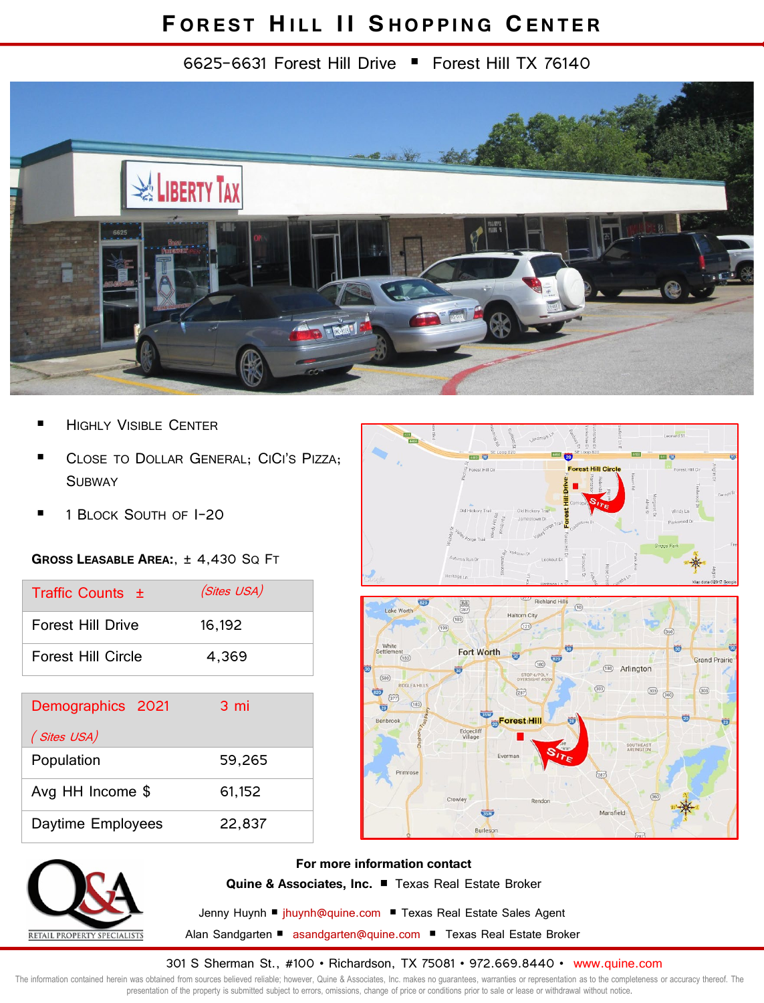## **F OREST HILL II S HOPPING CENTER**

6625-6631 Forest Hill Drive Forest Hill TX 76140



- HIGHLY VISIBLE CENTER
- CLOSE TO DOLLAR GENERAL; CICI'S PIZZA; **SUBWAY**
- 1 BLOCK SOUTH OF I-20

## **GROSS LEASABLE AREA:**, ± 4,430 SQ FT

| Traffic Counts $\pm$ | (Sites USA) |
|----------------------|-------------|
| Forest Hill Drive    | 16.192      |
| Forest Hill Circle   | 4.369       |

| Demographics 2021 | 3 mi   |
|-------------------|--------|
| (Sites USA)       |        |
| Population        | 59,265 |
| Avg HH Income \$  | 61,152 |
| Daytime Employees | 22,837 |







**For more information contact Quine & Associates, Inc.** P Texas Real Estate Broker

Jenny Huynh <sup>■</sup> jhuynh@quine.com ■ Texas Real Estate Sales Agent Alan Sandgarten ■ asandgarten@quine.com ■ Texas Real Estate Broker

301 S Sherman St., #100 • Richardson, TX 75081 • 972.669.8440 • www.quine.com

The information contained herein was obtained from sources believed reliable; however, Quine & Associates, Inc. makes no guarantees, warranties or representation as to the completeness or accuracy thereof. The presentation of the property is submitted subject to errors, omissions, change of price or conditions prior to sale or lease or withdrawal without notice.